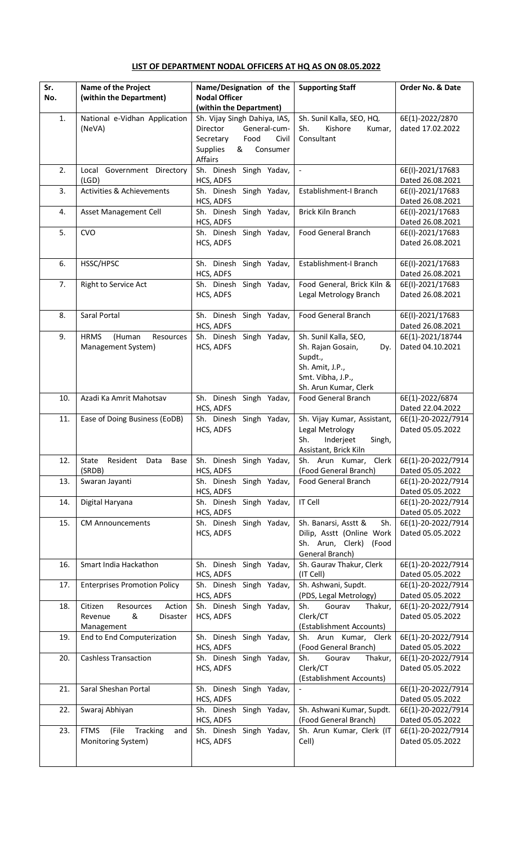## **LIST OF DEPARTMENT NODAL OFFICERS AT HQ AS ON 08.05.2022**

| Sr.<br>No. | Name of the Project<br>(within the Department)                           | Name/Designation of the<br><b>Nodal Officer</b><br>(within the Department)                                                            | <b>Supporting Staff</b>                                                                                                       | Order No. & Date                       |
|------------|--------------------------------------------------------------------------|---------------------------------------------------------------------------------------------------------------------------------------|-------------------------------------------------------------------------------------------------------------------------------|----------------------------------------|
| 1.         | National e-Vidhan Application<br>(NeVA)                                  | Sh. Vijay Singh Dahiya, IAS,<br>Director<br>General-cum-<br>Food<br>Secretary<br>Civil<br><b>Supplies</b><br>Consumer<br>&<br>Affairs | Sh. Sunil Kalla, SEO, HQ.<br>Sh.<br>Kishore<br>Kumar,<br>Consultant                                                           | 6E(1)-2022/2870<br>dated 17.02.2022    |
| 2.         | Local Government Directory<br>(LGD)                                      | Sh. Dinesh Singh Yadav,<br>HCS, ADFS                                                                                                  | $\overline{\phantom{a}}$                                                                                                      | 6E(I)-2021/17683<br>Dated 26.08.2021   |
| 3.         | <b>Activities &amp; Achievements</b>                                     | Sh. Dinesh Singh Yadav,<br>HCS, ADFS                                                                                                  | Establishment-I Branch                                                                                                        | 6E(I)-2021/17683<br>Dated 26.08.2021   |
| 4.         | Asset Management Cell                                                    | Sh. Dinesh Singh Yadav,<br>HCS, ADFS                                                                                                  | Brick Kiln Branch                                                                                                             | 6E(I)-2021/17683<br>Dated 26.08.2021   |
| 5.         | <b>CVO</b>                                                               | Sh. Dinesh Singh Yadav,<br>HCS, ADFS                                                                                                  | <b>Food General Branch</b>                                                                                                    | 6E(I)-2021/17683<br>Dated 26.08.2021   |
| 6.         | HSSC/HPSC                                                                | Sh. Dinesh Singh Yadav,<br>HCS, ADFS                                                                                                  | Establishment-I Branch                                                                                                        | 6E(I)-2021/17683<br>Dated 26.08.2021   |
| 7.         | Right to Service Act                                                     | Sh. Dinesh Singh Yadav,<br>HCS, ADFS                                                                                                  | Food General, Brick Kiln &<br>Legal Metrology Branch                                                                          | 6E(I)-2021/17683<br>Dated 26.08.2021   |
| 8.         | Saral Portal                                                             | Sh. Dinesh Singh Yadav,<br>HCS, ADFS                                                                                                  | <b>Food General Branch</b>                                                                                                    | 6E(I)-2021/17683<br>Dated 26.08.2021   |
| 9.         | <b>HRMS</b><br>(Human<br>Resources<br>Management System)                 | Sh. Dinesh Singh Yadav,<br>HCS, ADFS                                                                                                  | Sh. Sunil Kalla, SEO,<br>Sh. Rajan Gosain,<br>Dy.<br>Supdt.,<br>Sh. Amit, J.P.,<br>Smt. Vibha, J.P.,<br>Sh. Arun Kumar, Clerk | 6E(1)-2021/18744<br>Dated 04.10.2021   |
| 10.        | Azadi Ka Amrit Mahotsav                                                  | Sh. Dinesh Singh Yadav,<br>HCS, ADFS                                                                                                  | <b>Food General Branch</b>                                                                                                    | 6E(1)-2022/6874<br>Dated 22.04.2022    |
| 11.        | Ease of Doing Business (EoDB)                                            | Sh. Dinesh Singh Yadav,<br>HCS, ADFS                                                                                                  | Sh. Vijay Kumar, Assistant,<br>Legal Metrology<br>Sh.<br>Inderjeet<br>Singh,<br>Assistant, Brick Kiln                         | 6E(1)-20-2022/7914<br>Dated 05.05.2022 |
| 12.        | Resident<br>State<br>Data<br>Base<br>(SRDB)                              | Sh. Dinesh Singh Yadav,<br>HCS, ADFS                                                                                                  | Sh. Arun Kumar, Clerk<br>(Food General Branch)                                                                                | 6E(1)-20-2022/7914<br>Dated 05.05.2022 |
| 13.        | Swaran Jayanti                                                           | Sh. Dinesh Singh Yadav,<br>HCS, ADFS                                                                                                  | <b>Food General Branch</b>                                                                                                    | 6E(1)-20-2022/7914<br>Dated 05.05.2022 |
| 14.        | Digital Haryana                                                          | Sh. Dinesh Singh Yadav,<br>HCS, ADFS                                                                                                  | <b>IT Cell</b>                                                                                                                | 6E(1)-20-2022/7914<br>Dated 05.05.2022 |
| 15.        | <b>CM Announcements</b>                                                  | Sh. Dinesh Singh Yadav,<br>HCS, ADFS                                                                                                  | Sh.<br>Sh. Banarsi, Asstt &<br>Dilip, Asstt (Online Work<br>Sh. Arun, Clerk)<br>(Food<br>General Branch)                      | 6E(1)-20-2022/7914<br>Dated 05.05.2022 |
| 16.        | Smart India Hackathon                                                    | Sh. Dinesh Singh Yadav,<br>HCS, ADFS                                                                                                  | Sh. Gaurav Thakur, Clerk<br>(IT Cell)                                                                                         | 6E(1)-20-2022/7914<br>Dated 05.05.2022 |
| 17.        | <b>Enterprises Promotion Policy</b>                                      | Sh. Dinesh Singh Yadav,<br>HCS, ADFS                                                                                                  | Sh. Ashwani, Supdt.<br>(PDS, Legal Metrology)                                                                                 | 6E(1)-20-2022/7914<br>Dated 05.05.2022 |
| 18.        | Citizen<br>Resources<br>Action<br>Revenue<br>&<br>Disaster<br>Management | Sh. Dinesh Singh Yadav,<br>HCS, ADFS                                                                                                  | Gourav<br>Sh.<br>Thakur,<br>Clerk/CT<br>(Establishment Accounts)                                                              | 6E(1)-20-2022/7914<br>Dated 05.05.2022 |
| 19.        | End to End Computerization                                               | Sh. Dinesh Singh Yadav,<br>HCS, ADFS                                                                                                  | Sh. Arun Kumar, Clerk<br>(Food General Branch)                                                                                | 6E(1)-20-2022/7914<br>Dated 05.05.2022 |
| 20.        | <b>Cashless Transaction</b>                                              | Sh. Dinesh Singh Yadav,<br>HCS, ADFS                                                                                                  | Sh.<br>Gourav<br>Thakur,<br>Clerk/CT<br>(Establishment Accounts)                                                              | 6E(1)-20-2022/7914<br>Dated 05.05.2022 |
| 21.        | Saral Sheshan Portal                                                     | Sh. Dinesh Singh Yadav,<br>HCS, ADFS                                                                                                  |                                                                                                                               | 6E(1)-20-2022/7914<br>Dated 05.05.2022 |
| 22.        | Swaraj Abhiyan                                                           | Sh. Dinesh Singh Yadav,<br>HCS, ADFS                                                                                                  | Sh. Ashwani Kumar, Supdt.<br>(Food General Branch)                                                                            | 6E(1)-20-2022/7914<br>Dated 05.05.2022 |
| 23.        | (File<br>Tracking<br><b>FTMS</b><br>and<br>Monitoring System)            | Sh. Dinesh Singh Yadav,<br>HCS, ADFS                                                                                                  | Sh. Arun Kumar, Clerk (IT<br>Cell)                                                                                            | 6E(1)-20-2022/7914<br>Dated 05.05.2022 |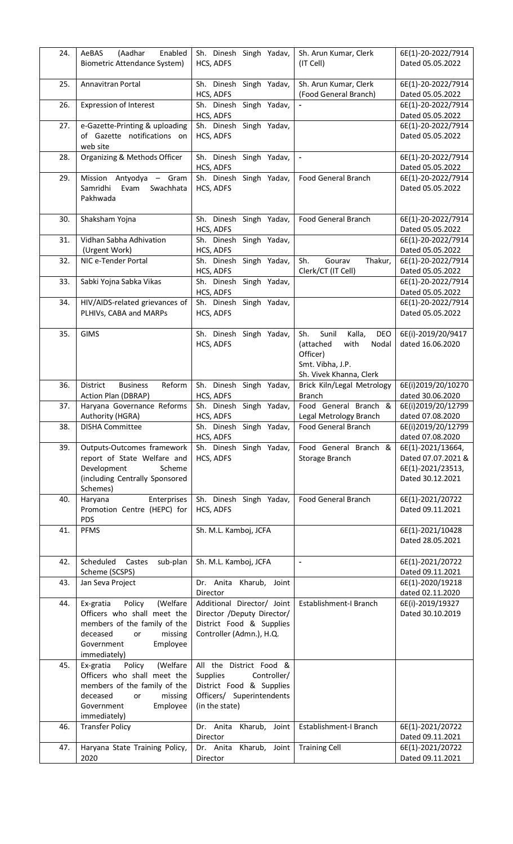| 24. | (Aadhar<br>Enabled<br>AeBAS<br><b>Biometric Attendance System)</b>                                                                                                    | Sh. Dinesh Singh Yadav,<br>HCS, ADFS                                                                                                 | Sh. Arun Kumar, Clerk<br>(IT Cell)                                                                                     | 6E(1)-20-2022/7914<br>Dated 05.05.2022                                           |
|-----|-----------------------------------------------------------------------------------------------------------------------------------------------------------------------|--------------------------------------------------------------------------------------------------------------------------------------|------------------------------------------------------------------------------------------------------------------------|----------------------------------------------------------------------------------|
| 25. | Annavitran Portal                                                                                                                                                     | Sh. Dinesh Singh Yadav,<br>HCS, ADFS                                                                                                 | Sh. Arun Kumar, Clerk<br>(Food General Branch)                                                                         | 6E(1)-20-2022/7914<br>Dated 05.05.2022                                           |
| 26. | <b>Expression of Interest</b>                                                                                                                                         | Sh. Dinesh Singh Yadav,<br>HCS, ADFS                                                                                                 |                                                                                                                        | 6E(1)-20-2022/7914<br>Dated 05.05.2022                                           |
| 27. | e-Gazette-Printing & uploading<br>of Gazette notifications on<br>web site                                                                                             | Sh. Dinesh Singh Yadav,<br>HCS, ADFS                                                                                                 |                                                                                                                        | 6E(1)-20-2022/7914<br>Dated 05.05.2022                                           |
| 28. | Organizing & Methods Officer                                                                                                                                          | Sh. Dinesh Singh Yadav,<br>HCS, ADFS                                                                                                 |                                                                                                                        | 6E(1)-20-2022/7914<br>Dated 05.05.2022                                           |
| 29. | Mission Antyodya - Gram<br>Samridhi<br>Evam<br>Swachhata<br>Pakhwada                                                                                                  | Sh. Dinesh Singh Yadav,<br>HCS, ADFS                                                                                                 | <b>Food General Branch</b>                                                                                             | 6E(1)-20-2022/7914<br>Dated 05.05.2022                                           |
| 30. | Shaksham Yojna                                                                                                                                                        | Sh. Dinesh Singh Yadav,<br>HCS, ADFS                                                                                                 | <b>Food General Branch</b>                                                                                             | 6E(1)-20-2022/7914<br>Dated 05.05.2022                                           |
| 31. | Vidhan Sabha Adhivation<br>(Urgent Work)                                                                                                                              | Sh. Dinesh Singh Yadav,<br>HCS, ADFS                                                                                                 |                                                                                                                        | 6E(1)-20-2022/7914<br>Dated 05.05.2022                                           |
| 32. | NIC e-Tender Portal                                                                                                                                                   | Sh. Dinesh Singh Yadav,<br>HCS, ADFS                                                                                                 | Sh.<br>Gourav<br>Thakur,<br>Clerk/CT (IT Cell)                                                                         | 6E(1)-20-2022/7914<br>Dated 05.05.2022                                           |
| 33. | Sabki Yojna Sabka Vikas                                                                                                                                               | Sh. Dinesh Singh Yadav,<br>HCS, ADFS                                                                                                 |                                                                                                                        | 6E(1)-20-2022/7914<br>Dated 05.05.2022                                           |
| 34. | HIV/AIDS-related grievances of<br>PLHIVs, CABA and MARPs                                                                                                              | Sh. Dinesh Singh Yadav,<br>HCS, ADFS                                                                                                 |                                                                                                                        | 6E(1)-20-2022/7914<br>Dated 05.05.2022                                           |
| 35. | <b>GIMS</b>                                                                                                                                                           | Sh. Dinesh Singh Yadav,<br>HCS, ADFS                                                                                                 | Sunil<br>Sh.<br>Kalla,<br>DEO<br>(attached<br>with<br>Nodal<br>Officer)<br>Smt. Vibha, J.P.<br>Sh. Vivek Khanna, Clerk | 6E(i)-2019/20/9417<br>dated 16.06.2020                                           |
| 36. | Reform<br>District<br><b>Business</b><br>Action Plan (DBRAP)                                                                                                          | Sh. Dinesh Singh Yadav,<br>HCS, ADFS                                                                                                 | Brick Kiln/Legal Metrology<br><b>Branch</b>                                                                            | 6E(i)2019/20/10270<br>dated 30.06.2020                                           |
| 37. | Haryana Governance Reforms<br>Authority (HGRA)                                                                                                                        | Sh. Dinesh Singh Yadav,<br>HCS, ADFS                                                                                                 | Food General Branch &<br>Legal Metrology Branch                                                                        | 6E(i)2019/20/12799<br>dated 07.08.2020                                           |
| 38. | <b>DISHA Committee</b>                                                                                                                                                | Sh. Dinesh Singh Yadav,<br>HCS, ADFS                                                                                                 | <b>Food General Branch</b>                                                                                             | 6E(i)2019/20/12799<br>dated 07.08.2020                                           |
| 39. | Outputs-Outcomes framework<br>report of State Welfare and<br>Development<br>Scheme<br>(including Centrally Sponsored<br>Schemes)                                      | Sh. Dinesh Singh Yadav,<br>HCS, ADFS                                                                                                 | Food General Branch &<br>Storage Branch                                                                                | 6E(1)-2021/13664,<br>Dated 07.07.2021 &<br>6E(1)-2021/23513,<br>Dated 30.12.2021 |
| 40. | Haryana<br>Enterprises<br>Promotion Centre (HEPC) for<br><b>PDS</b>                                                                                                   | Sh. Dinesh Singh Yadav,<br>HCS, ADFS                                                                                                 | Food General Branch                                                                                                    | 6E(1)-2021/20722<br>Dated 09.11.2021                                             |
| 41. | <b>PFMS</b>                                                                                                                                                           | Sh. M.L. Kamboj, JCFA                                                                                                                |                                                                                                                        | 6E(1)-2021/10428<br>Dated 28.05.2021                                             |
| 42. | Scheduled<br>Castes<br>sub-plan<br>Scheme (SCSPS)                                                                                                                     | Sh. M.L. Kamboj, JCFA                                                                                                                | $\blacksquare$                                                                                                         | 6E(1)-2021/20722<br>Dated 09.11.2021                                             |
| 43. | Jan Seva Project                                                                                                                                                      | Dr. Anita Kharub, Joint<br>Director                                                                                                  |                                                                                                                        | 6E(1)-2020/19218<br>dated 02.11.2020                                             |
| 44. | Policy<br>Ex-gratia<br>(Welfare<br>Officers who shall meet the<br>members of the family of the<br>deceased<br>missing<br>or<br>Government<br>Employee<br>immediately) | Additional Director/ Joint<br>Director /Deputy Director/<br>District Food & Supplies<br>Controller (Admn.), H.Q.                     | Establishment-I Branch                                                                                                 | 6E(i)-2019/19327<br>Dated 30.10.2019                                             |
| 45. | (Welfare<br>Ex-gratia<br>Policy<br>Officers who shall meet the<br>members of the family of the<br>deceased<br>missing<br>or<br>Government<br>Employee<br>immediately) | All the District Food &<br>Controller/<br><b>Supplies</b><br>District Food & Supplies<br>Officers/ Superintendents<br>(in the state) |                                                                                                                        |                                                                                  |
| 46. | <b>Transfer Policy</b>                                                                                                                                                | Dr. Anita Kharub, Joint<br>Director                                                                                                  | Establishment-I Branch                                                                                                 | 6E(1)-2021/20722<br>Dated 09.11.2021                                             |
| 47. | Haryana State Training Policy,<br>2020                                                                                                                                | Dr. Anita Kharub, Joint<br>Director                                                                                                  | <b>Training Cell</b>                                                                                                   | 6E(1)-2021/20722<br>Dated 09.11.2021                                             |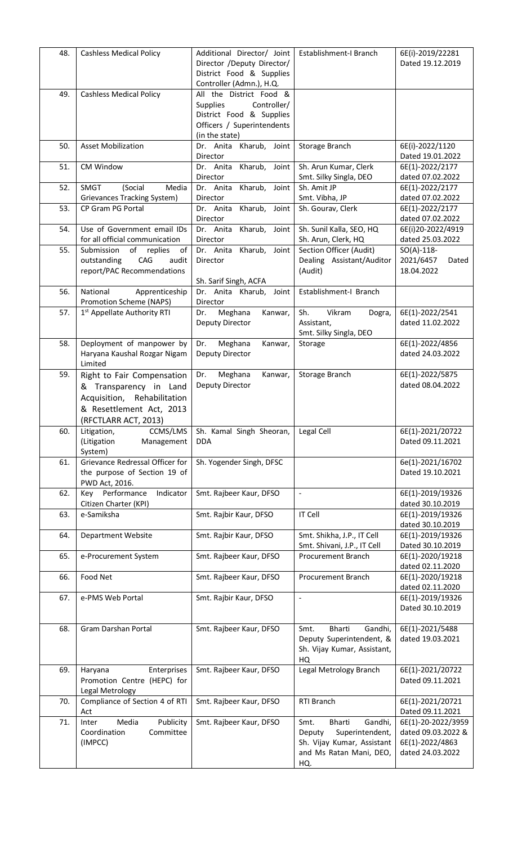| 48. | <b>Cashless Medical Policy</b>                                     | Additional Director/ Joint<br>Director /Deputy Director/   | Establishment-I Branch                                  | 6E(i)-2019/22281<br>Dated 19.12.2019     |
|-----|--------------------------------------------------------------------|------------------------------------------------------------|---------------------------------------------------------|------------------------------------------|
|     |                                                                    | District Food & Supplies<br>Controller (Admn.), H.Q.       |                                                         |                                          |
| 49. | <b>Cashless Medical Policy</b>                                     | All the District Food &                                    |                                                         |                                          |
|     |                                                                    | <b>Supplies</b><br>Controller/<br>District Food & Supplies |                                                         |                                          |
|     |                                                                    | Officers / Superintendents<br>(in the state)               |                                                         |                                          |
| 50. | <b>Asset Mobilization</b>                                          | Dr. Anita Kharub,<br>Joint                                 | Storage Branch                                          | 6E(i)-2022/1120                          |
| 51. | CM Window                                                          | Director<br>Kharub,<br>Joint<br>Dr. Anita                  | Sh. Arun Kumar, Clerk                                   | Dated 19.01.2022<br>6E(1)-2022/2177      |
|     |                                                                    | Director                                                   | Smt. Silky Singla, DEO                                  | dated 07.02.2022                         |
| 52. | <b>SMGT</b><br>(Social<br>Media<br>Grievances Tracking System)     | Dr. Anita Kharub,<br>Joint<br>Director                     | Sh. Amit JP<br>Smt. Vibha, JP                           | 6E(1)-2022/2177<br>dated 07.02.2022      |
| 53. | CP Gram PG Portal                                                  | Dr. Anita<br>Kharub,<br>Joint                              | Sh. Gourav, Clerk                                       | 6E(1)-2022/2177                          |
| 54. | Use of Government email IDs                                        | Director<br>Dr. Anita Kharub, Joint                        | Sh. Sunil Kalla, SEO, HQ                                | dated 07.02.2022<br>6E(i)20-2022/4919    |
| 55. | for all official communication<br>Submission<br>of                 | Director<br>Dr. Anita Kharub,<br>Joint                     | Sh. Arun, Clerk, HQ<br>Section Officer (Audit)          | dated 25.03.2022<br>$SO(A) - 118 -$      |
|     | replies<br>of<br>CAG<br>outstanding<br>audit                       | Director                                                   | Dealing Assistant/Auditor                               | 2021/6457<br>Dated                       |
|     | report/PAC Recommendations                                         | Sh. Sarif Singh, ACFA                                      | (Audit)                                                 | 18.04.2022                               |
| 56. | National<br>Apprenticeship                                         | Dr. Anita Kharub,<br>Joint                                 | Establishment-I Branch                                  |                                          |
| 57. | Promotion Scheme (NAPS)<br>1 <sup>st</sup> Appellate Authority RTI | Director<br>Meghana<br>Kanwar,<br>Dr.                      | Vikram<br>Sh.<br>Dogra,                                 | 6E(1)-2022/2541                          |
|     |                                                                    | Deputy Director                                            | Assistant,                                              | dated 11.02.2022                         |
| 58. | Deployment of manpower by                                          | Meghana<br>Dr.<br>Kanwar,                                  | Smt. Silky Singla, DEO<br>Storage                       | 6E(1)-2022/4856                          |
|     | Haryana Kaushal Rozgar Nigam                                       | Deputy Director                                            |                                                         | dated 24.03.2022                         |
| 59. | Limited<br>Right to Fair Compensation                              | Meghana<br>Dr.<br>Kanwar,                                  | Storage Branch                                          | 6E(1)-2022/5875                          |
|     | & Transparency in Land                                             | Deputy Director                                            |                                                         | dated 08.04.2022                         |
|     | Acquisition, Rehabilitation<br>& Resettlement Act, 2013            |                                                            |                                                         |                                          |
|     | (RFCTLARR ACT, 2013)                                               |                                                            |                                                         |                                          |
| 60. | CCMS/LMS<br>Litigation,<br>(Litigation<br>Management               | Sh. Kamal Singh Sheoran,<br><b>DDA</b>                     | Legal Cell                                              | 6E(1)-2021/20722<br>Dated 09.11.2021     |
|     | System)                                                            |                                                            |                                                         |                                          |
| 61. | Grievance Redressal Officer for<br>the purpose of Section 19 of    | Sh. Yogender Singh, DFSC                                   |                                                         | 6e(1)-2021/16702<br>Dated 19.10.2021     |
|     | PWD Act, 2016.                                                     |                                                            |                                                         |                                          |
| 62. | Key Performance<br>Indicator<br>Citizen Charter (KPI)              | Smt. Rajbeer Kaur, DFSO                                    | $\Box$                                                  | 6E(1)-2019/19326<br>dated 30.10.2019     |
| 63. | e-Samiksha                                                         | Smt. Rajbir Kaur, DFSO                                     | <b>IT Cell</b>                                          | 6E(1)-2019/19326<br>dated 30.10.2019     |
| 64. | <b>Department Website</b>                                          | Smt. Rajbir Kaur, DFSO                                     | Smt. Shikha, J.P., IT Cell                              | 6E(1)-2019/19326                         |
| 65. | e-Procurement System                                               | Smt. Rajbeer Kaur, DFSO                                    | Smt. Shivani, J.P., IT Cell<br>Procurement Branch       | Dated 30.10.2019<br>6E(1)-2020/19218     |
|     |                                                                    |                                                            |                                                         | dated 02.11.2020                         |
| 66. | Food Net                                                           | Smt. Rajbeer Kaur, DFSO                                    | Procurement Branch                                      | 6E(1)-2020/19218<br>dated 02.11.2020     |
| 67. | e-PMS Web Portal                                                   | Smt. Rajbir Kaur, DFSO                                     | $\Box$                                                  | 6E(1)-2019/19326                         |
|     |                                                                    |                                                            |                                                         | Dated 30.10.2019                         |
| 68. | Gram Darshan Portal                                                | Smt. Rajbeer Kaur, DFSO                                    | Bharti<br>Gandhi,<br>Smt.                               | 6E(1)-2021/5488                          |
|     |                                                                    |                                                            | Deputy Superintendent, &<br>Sh. Vijay Kumar, Assistant, | dated 19.03.2021                         |
| 69. |                                                                    |                                                            | HQ<br>Legal Metrology Branch                            | 6E(1)-2021/20722                         |
|     | Enterprises<br>Haryana<br>Promotion Centre (HEPC) for              | Smt. Rajbeer Kaur, DFSO                                    |                                                         | Dated 09.11.2021                         |
| 70. | Legal Metrology<br>Compliance of Section 4 of RTI                  | Smt. Rajbeer Kaur, DFSO                                    | RTI Branch                                              | 6E(1)-2021/20721                         |
|     | Act                                                                |                                                            |                                                         | Dated 09.11.2021                         |
| 71. | Media<br>Publicity<br>Inter<br>Coordination<br>Committee           | Smt. Rajbeer Kaur, DFSO                                    | Gandhi,<br>Bharti<br>Smt.<br>Superintendent,<br>Deputy  | 6E(1)-20-2022/3959<br>dated 09.03.2022 & |
|     | (IMPCC)                                                            |                                                            | Sh. Vijay Kumar, Assistant                              | 6E(1)-2022/4863                          |
|     |                                                                    |                                                            | and Ms Ratan Mani, DEO,<br>HQ.                          | dated 24.03.2022                         |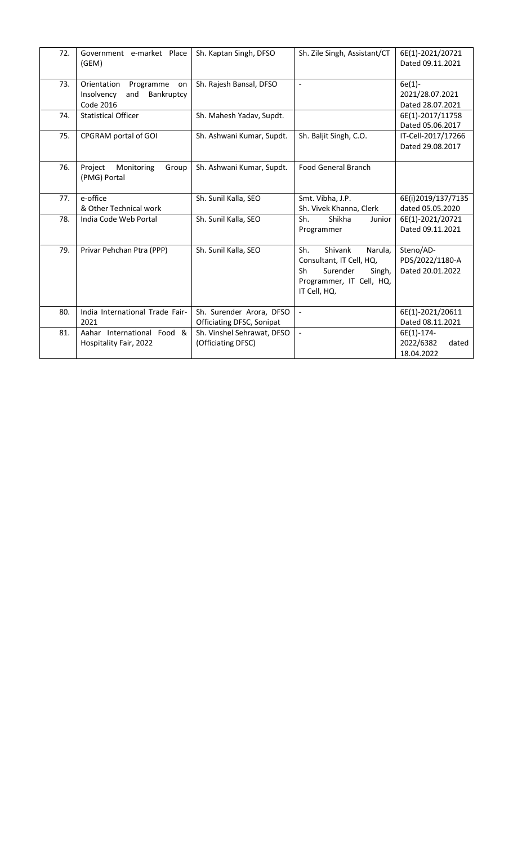| 72. | Government e-market Place<br>(GEM)                                             | Sh. Kaptan Singh, DFSO                                | Sh. Zile Singh, Assistant/CT                                                                                                  | 6E(1)-2021/20721<br>Dated 09.11.2021             |
|-----|--------------------------------------------------------------------------------|-------------------------------------------------------|-------------------------------------------------------------------------------------------------------------------------------|--------------------------------------------------|
| 73. | Orientation<br>Programme<br>on<br>Insolvency<br>Bankruptcy<br>and<br>Code 2016 | Sh. Rajesh Bansal, DFSO                               | $\frac{1}{2}$                                                                                                                 | $6e(1)$ -<br>2021/28.07.2021<br>Dated 28.07.2021 |
| 74. | <b>Statistical Officer</b>                                                     | Sh. Mahesh Yadav, Supdt.                              |                                                                                                                               | 6E(1)-2017/11758<br>Dated 05.06.2017             |
| 75. | CPGRAM portal of GOI                                                           | Sh. Ashwani Kumar, Supdt.                             | Sh. Baljit Singh, C.O.                                                                                                        | IT-Cell-2017/17266<br>Dated 29.08.2017           |
| 76. | Project<br>Group<br>Monitoring<br>(PMG) Portal                                 | Sh. Ashwani Kumar, Supdt.                             | <b>Food General Branch</b>                                                                                                    |                                                  |
| 77. | e-office<br>& Other Technical work                                             | Sh. Sunil Kalla, SEO                                  | Smt. Vibha, J.P.<br>Sh. Vivek Khanna, Clerk                                                                                   | 6E(i)2019/137/7135<br>dated 05.05.2020           |
| 78. | India Code Web Portal                                                          | Sh. Sunil Kalla, SEO                                  | Shikha<br>Sh.<br>Junior<br>Programmer                                                                                         | 6E(1)-2021/20721<br>Dated 09.11.2021             |
| 79. | Privar Pehchan Ptra (PPP)                                                      | Sh. Sunil Kalla, SEO                                  | Sh.<br>Shivank<br>Narula,<br>Consultant, IT Cell, HQ,<br>Surender<br>Singh,<br>Sh<br>Programmer, IT Cell, HQ,<br>IT Cell, HQ. | Steno/AD-<br>PDS/2022/1180-A<br>Dated 20.01.2022 |
| 80. | India International Trade Fair-<br>2021                                        | Sh. Surender Arora, DFSO<br>Officiating DFSC, Sonipat | $\blacksquare$                                                                                                                | 6E(1)-2021/20611<br>Dated 08.11.2021             |
| 81. | Aahar International Food &<br>Hospitality Fair, 2022                           | Sh. Vinshel Sehrawat, DFSO<br>(Officiating DFSC)      | $\blacksquare$                                                                                                                | 6E(1)-174-<br>2022/6382<br>dated<br>18.04.2022   |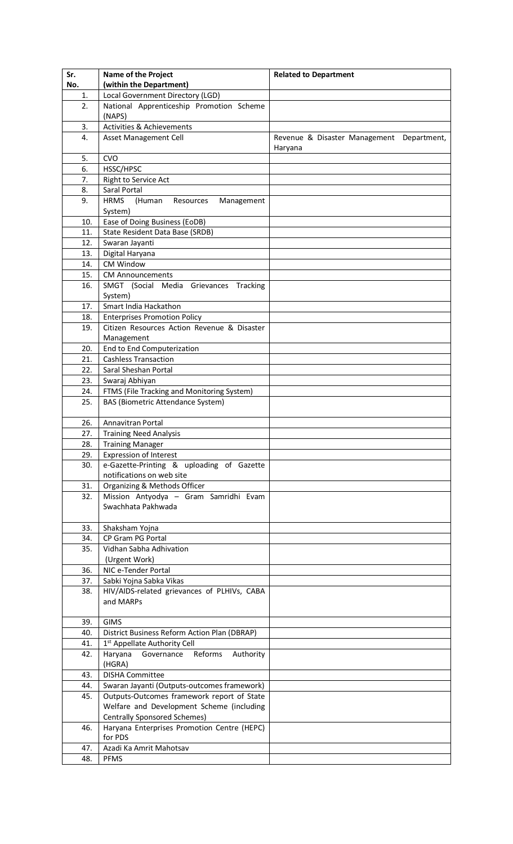| Sr.        | <b>Name of the Project</b>                                                             | <b>Related to Department</b>              |
|------------|----------------------------------------------------------------------------------------|-------------------------------------------|
| No.        | (within the Department)                                                                |                                           |
| 1.         | Local Government Directory (LGD)                                                       |                                           |
| 2.         | National Apprenticeship Promotion Scheme                                               |                                           |
|            | (NAPS)                                                                                 |                                           |
| 3.         | <b>Activities &amp; Achievements</b>                                                   |                                           |
| 4.         | Asset Management Cell                                                                  | Revenue & Disaster Management Department, |
|            |                                                                                        | Haryana                                   |
| 5.         | <b>CVO</b>                                                                             |                                           |
| 6.         | HSSC/HPSC                                                                              |                                           |
| 7.         | Right to Service Act<br>Saral Portal                                                   |                                           |
| 8.<br>9.   | <b>HRMS</b><br>(Human<br>Resources<br>Management                                       |                                           |
|            | System)                                                                                |                                           |
| 10.        | Ease of Doing Business (EoDB)                                                          |                                           |
| 11.        | State Resident Data Base (SRDB)                                                        |                                           |
| 12.        | Swaran Jayanti                                                                         |                                           |
| 13.        | Digital Haryana                                                                        |                                           |
| 14.        | CM Window                                                                              |                                           |
| 15.        | <b>CM Announcements</b>                                                                |                                           |
| 16.        | SMGT (Social Media Grievances Tracking                                                 |                                           |
|            | System)                                                                                |                                           |
| 17.        | Smart India Hackathon                                                                  |                                           |
| 18.        | <b>Enterprises Promotion Policy</b>                                                    |                                           |
| 19.        | Citizen Resources Action Revenue & Disaster                                            |                                           |
|            | Management                                                                             |                                           |
| 20.        | End to End Computerization                                                             |                                           |
| 21.        | <b>Cashless Transaction</b>                                                            |                                           |
| 22.        | Saral Sheshan Portal                                                                   |                                           |
| 23.        | Swaraj Abhiyan                                                                         |                                           |
| 24.<br>25. | FTMS (File Tracking and Monitoring System)<br><b>BAS (Biometric Attendance System)</b> |                                           |
|            |                                                                                        |                                           |
| 26.        | Annavitran Portal                                                                      |                                           |
| 27.        | <b>Training Need Analysis</b>                                                          |                                           |
| 28.        | <b>Training Manager</b>                                                                |                                           |
| 29.        | <b>Expression of Interest</b>                                                          |                                           |
| 30.        | e-Gazette-Printing & uploading of Gazette                                              |                                           |
|            | notifications on web site                                                              |                                           |
| 31.        | Organizing & Methods Officer                                                           |                                           |
| 32.        | Mission Antyodya - Gram Samridhi Evam                                                  |                                           |
|            | Swachhata Pakhwada                                                                     |                                           |
|            |                                                                                        |                                           |
| 33.        | Shaksham Yojna                                                                         |                                           |
| 34.        | CP Gram PG Portal                                                                      |                                           |
| 35.        | Vidhan Sabha Adhivation<br>(Urgent Work)                                               |                                           |
| 36.        | NIC e-Tender Portal                                                                    |                                           |
| 37.        | Sabki Yojna Sabka Vikas                                                                |                                           |
| 38.        | HIV/AIDS-related grievances of PLHIVs, CABA                                            |                                           |
|            | and MARPs                                                                              |                                           |
|            |                                                                                        |                                           |
| 39.        | <b>GIMS</b>                                                                            |                                           |
| 40.        | District Business Reform Action Plan (DBRAP)                                           |                                           |
| 41.        | 1 <sup>st</sup> Appellate Authority Cell                                               |                                           |
| 42.        | Haryana<br>Governance Reforms<br>Authority                                             |                                           |
|            | (HGRA)                                                                                 |                                           |
| 43.        | <b>DISHA Committee</b>                                                                 |                                           |
| 44.        | Swaran Jayanti (Outputs-outcomes framework)                                            |                                           |
| 45.        | Outputs-Outcomes framework report of State                                             |                                           |
|            | Welfare and Development Scheme (including<br><b>Centrally Sponsored Schemes)</b>       |                                           |
| 46.        | Haryana Enterprises Promotion Centre (HEPC)                                            |                                           |
|            | for PDS                                                                                |                                           |
| 47.        | Azadi Ka Amrit Mahotsav                                                                |                                           |
| 48.        | <b>PFMS</b>                                                                            |                                           |